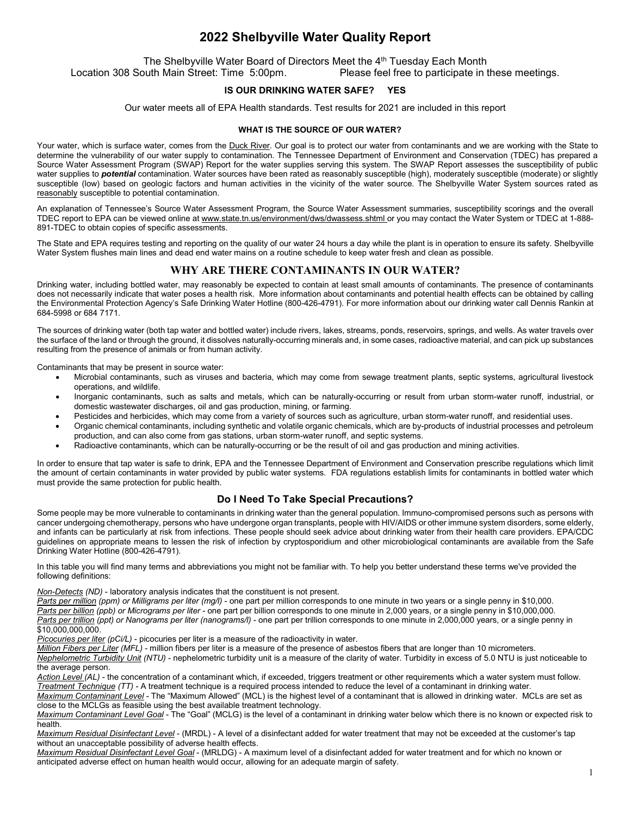# **2022 Shelbyville Water Quality Report**

The Shelbyville Water Board of Directors Meet the 4<sup>th</sup> Tuesday Each Month<br>Location 308 South Main Street: Time 5:00pm.<br>Please feel free to participate in t

Please feel free to participate in these meetings.

## **IS OUR DRINKING WATER SAFE? YES**

Our water meets all of EPA Health standards. Test results for 2021 are included in this report

#### **WHAT IS THE SOURCE OF OUR WATER?**

Your water, which is surface water, comes from the Duck River. Our goal is to protect our water from contaminants and we are working with the State to determine the vulnerability of our water supply to contamination. The Tennessee Department of Environment and Conservation (TDEC) has prepared a Source Water Assessment Program (SWAP) Report for the water supplies serving this system. The SWAP Report assesses the susceptibility of public water supplies to **potential** contamination. Water sources have been rated as reasonably susceptible (high), moderately susceptible (moderate) or slightly susceptible (low) based on geologic factors and human activities in the vicinity of the water source. The Shelbyville Water System sources rated as reasonably susceptible to potential contamination.

An explanation of Tennessee's Source Water Assessment Program, the Source Water Assessment summaries, susceptibility scorings and the overall TDEC report to EPA can be viewed online at www.state.tn.us/environment/dws/dwassess.shtml or you may contact the Water System or TDEC at 1-888-891-TDEC to obtain copies of specific assessments.

The State and EPA requires testing and reporting on the quality of our water 24 hours a day while the plant is in operation to ensure its safety. Shelbyville Water System flushes main lines and dead end water mains on a routine schedule to keep water fresh and clean as possible.

## **WHY ARE THERE CONTAMINANTS IN OUR WATER?**

Drinking water, including bottled water, may reasonably be expected to contain at least small amounts of contaminants. The presence of contaminants does not necessarily indicate that water poses a health risk. More information about contaminants and potential health effects can be obtained by calling the Environmental Protection Agency's Safe Drinking Water Hotline (800-426-4791). For more information about our drinking water call Dennis Rankin at 684-5998 or 684 7171.

The sources of drinking water (both tap water and bottled water) include rivers, lakes, streams, ponds, reservoirs, springs, and wells. As water travels over the surface of the land or through the ground, it dissolves naturally-occurring minerals and, in some cases, radioactive material, and can pick up substances resulting from the presence of animals or from human activity.

Contaminants that may be present in source water:

- Microbial contaminants, such as viruses and bacteria, which may come from sewage treatment plants, septic systems, agricultural livestock operations, and wildlife.
- Inorganic contaminants, such as salts and metals, which can be naturally-occurring or result from urban storm-water runoff, industrial, or domestic wastewater discharges, oil and gas production, mining, or farming.
- Pesticides and herbicides, which may come from a variety of sources such as agriculture, urban storm-water runoff, and residential uses.
- Organic chemical contaminants, including synthetic and volatile organic chemicals, which are by-products of industrial processes and petroleum production, and can also come from gas stations, urban storm-water runoff, and septic systems.
- Radioactive contaminants, which can be naturally-occurring or be the result of oil and gas production and mining activities.

In order to ensure that tap water is safe to drink, EPA and the Tennessee Department of Environment and Conservation prescribe regulations which limit the amount of certain contaminants in water provided by public water systems. FDA regulations establish limits for contaminants in bottled water which must provide the same protection for public health.

## **Do I Need To Take Special Precautions?**

Some people may be more vulnerable to contaminants in drinking water than the general population. Immuno-compromised persons such as persons with cancer undergoing chemotherapy, persons who have undergone organ transplants, people with HIV/AIDS or other immune system disorders, some elderly, and infants can be particularly at risk from infections. These people should seek advice about drinking water from their health care providers. EPA/CDC guidelines on appropriate means to lessen the risk of infection by cryptosporidium and other microbiological contaminants are available from the Safe Drinking Water Hotline (800-426-4791).

In this table you will find many terms and abbreviations you might not be familiar with. To help you better understand these terms we've provided the following definitions:

*Non-Detects (ND)* - laboratory analysis indicates that the constituent is not present.

*Parts per million (ppm) or Milligrams per liter (mg/l)* - one part per million corresponds to one minute in two years or a single penny in \$10,000. *Parts per billion (ppb) or Micrograms per liter* - one part per billion corresponds to one minute in 2,000 years, or a single penny in \$10,000,000. *Parts per trillion (ppt) or Nanograms per liter (nanograms/l)* - one part per trillion corresponds to one minute in 2,000,000 years, or a single penny in \$10,000,000,000.

*Picocuries per liter (pCi/L)* - picocuries per liter is a measure of the radioactivity in water.

*Million Fibers per Liter (MFL)* - million fibers per liter is a measure of the presence of asbestos fibers that are longer than 10 micrometers.

*Nephelometric Turbidity Unit (NTU)* - nephelometric turbidity unit is a measure of the clarity of water. Turbidity in excess of 5.0 NTU is just noticeable to the average person.

*Action Level (AL)* - the concentration of a contaminant which, if exceeded, triggers treatment or other requirements which a water system must follow. *Treatment Technique (TT)* - A treatment technique is a required process intended to reduce the level of a contaminant in drinking water. *Maximum Contaminant Level* - The "Maximum Allowed" (MCL) is the highest level of a contaminant that is allowed in drinking water. MCLs are set as close to the MCLGs as feasible using the best available treatment technology.

*Maximum Contaminant Level Goal* - The "Goal" (MCLG) is the level of a contaminant in drinking water below which there is no known or expected risk to health.

*Maximum Residual Disinfectant Level* - (MRDL) - A level of a disinfectant added for water treatment that may not be exceeded at the customer's tap without an unacceptable possibility of adverse health effects.

*Maximum Residual Disinfectant Level Goal* - (MRLDG) - A maximum level of a disinfectant added for water treatment and for which no known or anticipated adverse effect on human health would occur, allowing for an adequate margin of safety.